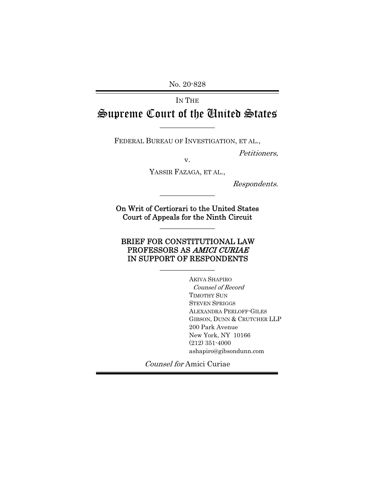No. 20-828

IN THE Supreme Court of the United States

 $\overline{\phantom{a}}$  , where  $\overline{\phantom{a}}$ 

FEDERAL BUREAU OF INVESTIGATION, ET AL.,

Petitioners,

v. YASSIR FAZAGA, ET AL.,

Respondents.

On Writ of Certiorari to the United States Court of Appeals for the Ninth Circuit

 $\overline{\phantom{a}}$  , we can also the contract of  $\overline{\phantom{a}}$ 

 $\overline{\phantom{a}}$  , we can also the contract of  $\overline{\phantom{a}}$ 

#### BRIEF FOR CONSTITUTIONAL LAW PROFESSORS AS AMICI CURIAE IN SUPPORT OF RESPONDENTS

 $\overline{\phantom{a}}$  , where  $\overline{\phantom{a}}$ 

AKIVA SHAPIRO Counsel of Record TIMOTHY SUN STEVEN SPRIGGS ALEXANDRA PERLOFF-GILES GIBSON, DUNN & CRUTCHER LLP 200 Park Avenue New York, NY 10166 (212) 351-4000 ashapiro@gibsondunn.com

Counsel for Amici Curiae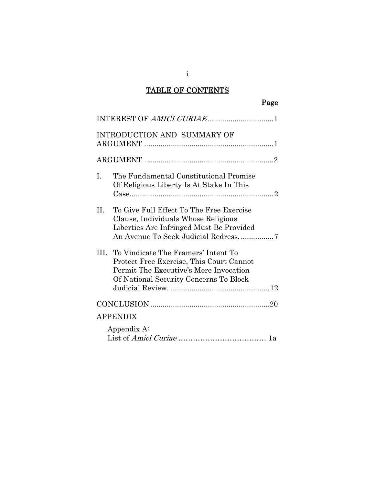## TABLE OF CONTENTS

| ۰, |
|----|
|----|

|                | INTEREST OF AMICI CURIAE1                                                                                                                                                |
|----------------|--------------------------------------------------------------------------------------------------------------------------------------------------------------------------|
|                | <b>INTRODUCTION AND SUMMARY OF</b>                                                                                                                                       |
|                |                                                                                                                                                                          |
| $\mathbf{I}$ . | The Fundamental Constitutional Promise<br>Of Religious Liberty Is At Stake In This                                                                                       |
| H.             | To Give Full Effect To The Free Exercise<br>Clause, Individuals Whose Religious<br>Liberties Are Infringed Must Be Provided<br>An Avenue To Seek Judicial Redress7       |
|                | III. To Vindicate The Framers' Intent To<br>Protect Free Exercise, This Court Cannot<br>Permit The Executive's Mere Invocation<br>Of National Security Concerns To Block |
|                |                                                                                                                                                                          |
|                | <b>APPENDIX</b>                                                                                                                                                          |
|                | Appendix A:                                                                                                                                                              |

i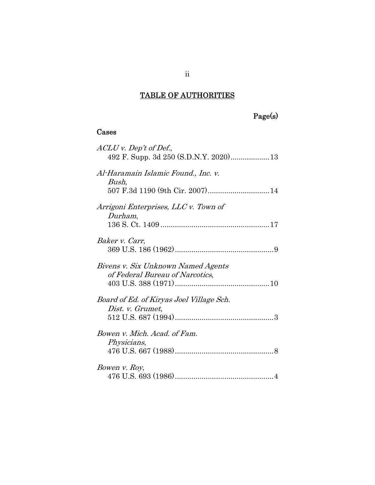## Page(s)

### Cases

| ACLU v. Dep't of Def.,<br>492 F. Supp. 3d 250 (S.D.N.Y. 2020) 13      |
|-----------------------------------------------------------------------|
| Al-Haramain Islamic Found., Inc. v.<br>Bush,                          |
| Arrigoni Enterprises, LLC v. Town of<br>Durham,                       |
| Baker v. Carr,                                                        |
| Bivens v. Six Unknown Named Agents<br>of Federal Bureau of Narcotics, |
| Board of Ed. of Kiryas Joel Village Sch.<br>Dist. v. Grumet,          |
| Bowen v. Mich. Acad. of Fam.<br>Physicians,                           |
| Bowen v. Roy,                                                         |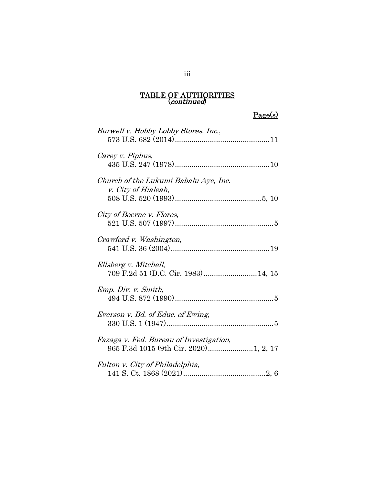## Page(s)

| Burwell v. Hobby Lobby Stores, Inc.,                          |
|---------------------------------------------------------------|
| Carey v. Piphus,                                              |
| Church of the Lukumi Babalu Aye, Inc.<br>v. City of Hialeah,  |
| City of Boerne v. Flores,                                     |
| Crawford v. Washington,                                       |
| Ellsberg v. Mitchell,<br>709 F.2d 51 (D.C. Cir. 1983)  14, 15 |
| Emp. Div. v. Smith,                                           |
| Everson v. Bd. of Educ. of Ewing,                             |
| Fazaga v. Fed. Bureau of Investigation,                       |
| Fulton v. City of Philadelphia,                               |

### iii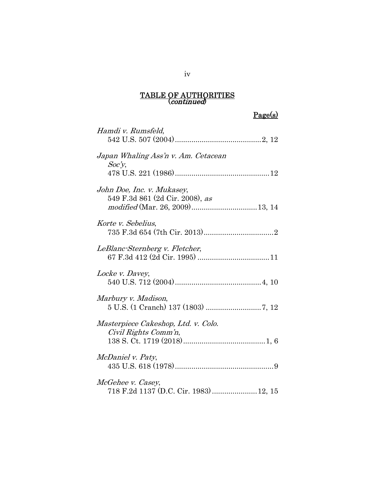## Page(s)

| Hamdi v. Rumsfeld,                                            |
|---------------------------------------------------------------|
| Japan Whaling Ass'n v. Am. Cetacean<br>Soc'y                  |
| John Doe, Inc. v. Mukasey,<br>549 F.3d 861 (2d Cir. 2008), as |
| Korte v. Sebelius,                                            |
| LeBlanc-Sternberg v. Fletcher,                                |
| Locke v. Davey,                                               |
| Marbury v. Madison,                                           |
| Masterpiece Cakeshop, Ltd. v. Colo.<br>Civil Rights Comm'n,   |
| McDaniel v. Paty,                                             |
| McGehee v. Casey,<br>718 F.2d 1137 (D.C. Cir. 1983)  12, 15   |

iv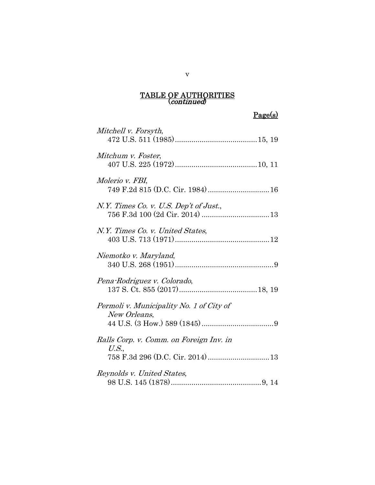Page(s)

| Mitchell v. Forsyth,                                     |
|----------------------------------------------------------|
| Mitchum v. Foster,                                       |
| Molerio v. FBI,                                          |
| N.Y. Times Co. v. U.S. Dep't of Just.,                   |
| N.Y. Times Co. v. United States,                         |
| Niemotko v. Maryland,                                    |
| Pena-Rodriguez v. Colorado,                              |
| Permoli v. Municipality No. 1 of City of<br>New Orleans, |
| Ralls Corp. v. Comm. on Foreign Inv. in<br>U.S.,         |
| Reynolds v. United States,                               |

v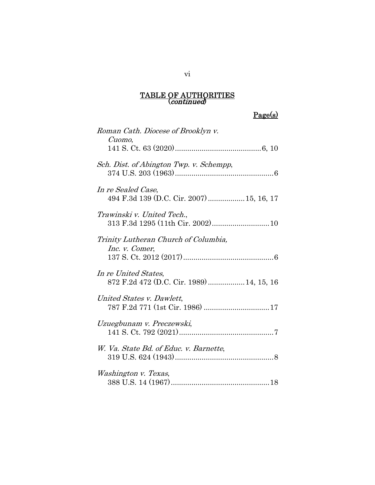## Page(s)

| Roman Cath. Diocese of Brooklyn v.<br>Cuomo,                      |
|-------------------------------------------------------------------|
|                                                                   |
| Sch. Dist. of Abington Twp. v. Schempp,                           |
| In re Sealed Case,<br>494 F.3d 139 (D.C. Cir. 2007)  15, 16, 17   |
| Trawinski v. United Tech.,                                        |
| Trinity Lutheran Church of Columbia,<br>Inc. v. Comer,            |
| In re United States,<br>872 F.2d 472 (D.C. Cir. 1989)  14, 15, 16 |
| United States v. Dawlett,                                         |
| Uzuegbunam v. Preczewski,                                         |
| W. Va. State Bd. of Educ. v. Barnette,                            |
| Washington v. Texas,                                              |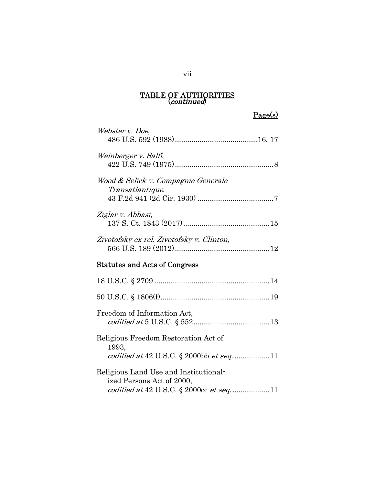## Page(s)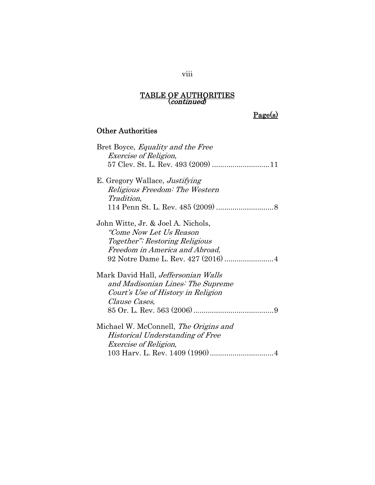## Page(s)

### Other Authorities

| Bret Boyce, <i>Equality and the Free</i>   |
|--------------------------------------------|
| <i>Exercise of Religion,</i>               |
|                                            |
| E. Gregory Wallace, <i>Justifying</i>      |
| Religious Freedom: The Western             |
| <i>Tradition,</i>                          |
|                                            |
| John Witte, Jr. & Joel A. Nichols,         |
| "Come Now Let Us Reason                    |
| Together": Restoring Religious             |
| Freedom in America and Abroad,             |
|                                            |
| Mark David Hall, <i>Jeffersonian Walls</i> |
| and Madisonian Lines: The Supreme          |
| Court's Use of History in Religion         |
| <i>Clause Cases,</i>                       |
|                                            |
| Michael W. McConnell, The Origins and      |
| Historical Understanding of Free           |
| <i>Exercise of Religion,</i>               |
|                                            |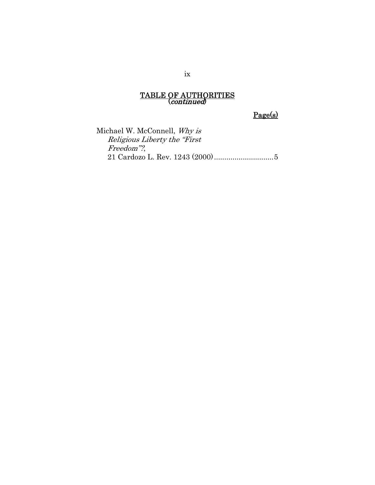Page(s)

Michael W. McConnell, Why is Religious Liberty the "First Freedom"?, 21 Cardozo L. Rev. 1243 (2000) ............................. 5

ix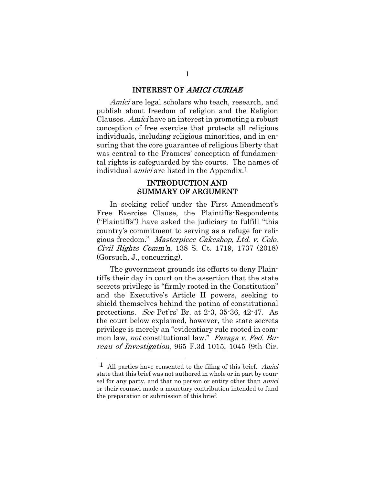#### INTEREST OF AMICI CURIAE

Amici are legal scholars who teach, research, and publish about freedom of religion and the Religion Clauses. Amici have an interest in promoting a robust conception of free exercise that protects all religious individuals, including religious minorities, and in ensuring that the core guarantee of religious liberty that was central to the Framers' conception of fundamental rights is safeguarded by the courts. The names of individual *amici* are listed in the Appendix.<sup>1</sup>

#### INTRODUCTION AND SUMMARY OF ARGUMENT

In seeking relief under the First Amendment's Free Exercise Clause, the Plaintiffs-Respondents ("Plaintiffs") have asked the judiciary to fulfill "this country's commitment to serving as a refuge for religious freedom." Masterpiece Cakeshop, Ltd. v. Colo. Civil Rights Comm'n, 138 S. Ct. 1719, 1737 (2018) (Gorsuch, J., concurring).

The government grounds its efforts to deny Plaintiffs their day in court on the assertion that the state secrets privilege is "firmly rooted in the Constitution" and the Executive's Article II powers, seeking to shield themselves behind the patina of constitutional protections. See Pet'rs' Br. at 2-3, 35-36, 42-47. As the court below explained, however, the state secrets privilege is merely an "evidentiary rule rooted in common law, not constitutional law." Fazaga v. Fed. Bureau of Investigation, 965 F.3d 1015, 1045 (9th Cir.

 $\overline{a}$ 

 $<sup>1</sup>$  All parties have consented to the filing of this brief. Amici</sup> state that this brief was not authored in whole or in part by counsel for any party, and that no person or entity other than *amici* or their counsel made a monetary contribution intended to fund the preparation or submission of this brief.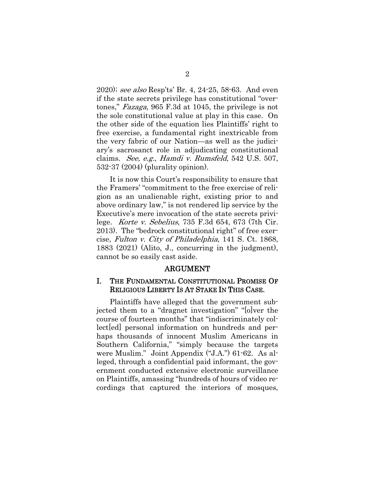2020); see also Resp'ts' Br. 4, 24-25, 58-63. And even if the state secrets privilege has constitutional "overtones," Fazaga, 965 F.3d at 1045, the privilege is not the sole constitutional value at play in this case. On the other side of the equation lies Plaintiffs' right to free exercise, a fundamental right inextricable from the very fabric of our Nation—as well as the judiciary's sacrosanct role in adjudicating constitutional claims. See, e.g., Hamdi v. Rumsfeld, 542 U.S. 507, 532-37 (2004) (plurality opinion).

It is now this Court's responsibility to ensure that the Framers' "commitment to the free exercise of religion as an unalienable right, existing prior to and above ordinary law," is not rendered lip service by the Executive's mere invocation of the state secrets privilege. Korte v. Sebelius, 735 F.3d 654, 673 (7th Cir. 2013). The "bedrock constitutional right" of free exercise, Fulton v. City of Philadelphia, 141 S. Ct. 1868, 1883 (2021) (Alito, J., concurring in the judgment), cannot be so easily cast aside.

#### ARGUMENT

### I. THE FUNDAMENTAL CONSTITUTIONAL PROMISE OF RELIGIOUS LIBERTY IS AT STAKE IN THIS CASE.

Plaintiffs have alleged that the government subjected them to a "dragnet investigation" "[o]ver the course of fourteen months" that "indiscriminately collect[ed] personal information on hundreds and perhaps thousands of innocent Muslim Americans in Southern California," "simply because the targets were Muslim." Joint Appendix ("J.A.") 61-62. As alleged, through a confidential paid informant, the government conducted extensive electronic surveillance on Plaintiffs, amassing "hundreds of hours of video recordings that captured the interiors of mosques,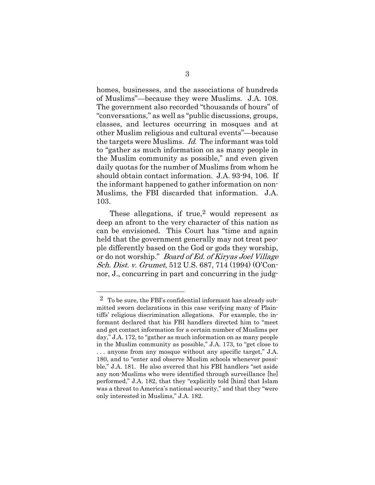homes, businesses, and the associations of hundreds of Muslims"—because they were Muslims. J.A. 108. The government also recorded "thousands of hours" of "conversations," as well as "public discussions, groups, classes, and lectures occurring in mosques and at other Muslim religious and cultural events"—because the targets were Muslims. Id. The informant was told to "gather as much information on as many people in the Muslim community as possible," and even given daily quotas for the number of Muslims from whom he should obtain contact information. J.A. 93-94, 106. If the informant happened to gather information on non-Muslims, the FBI discarded that information. J.A. 103.

These allegations, if  $true$ ,  $2$  would represent as deep an afront to the very character of this nation as can be envisioned. This Court has "time and again held that the government generally may not treat people differently based on the God or gods they worship, or do not worship." Board of Ed. of Kiryas Joel Village Sch. Dist. v. Grumet, 512 U.S. 687, 714 (1994) (O'Connor, J., concurring in part and concurring in the judg-

 $\overline{a}$ 

<sup>2</sup> To be sure, the FBI's confidential informant has already submitted sworn declarations in this case verifying many of Plaintiffs' religious discrimination allegations. For example, the informant declared that his FBI handlers directed him to "meet and get contact information for a certain number of Muslims per day," J.A. 172, to "gather as much information on as many people in the Muslim community as possible," J.A. 173, to "get close to . . . anyone from any mosque without any specific target," J.A. 180, and to "enter and observe Muslim schools whenever possible," J.A. 181. He also averred that his FBI handlers "set aside any non-Muslims who were identified through surveillance [he] performed," J.A. 182, that they "explicitly told [him] that Islam was a threat to America's national security," and that they "were only interested in Muslims," J.A. 182.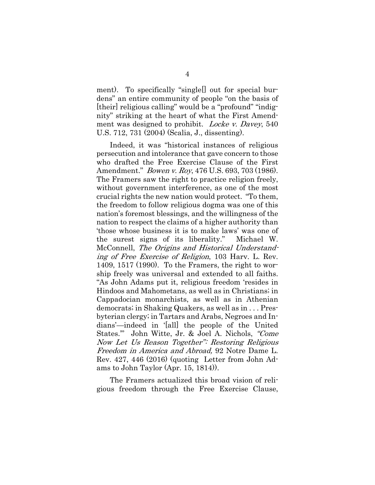ment). To specifically "single[] out for special burdens" an entire community of people "on the basis of [their] religious calling" would be a "profound" "indignity" striking at the heart of what the First Amendment was designed to prohibit. *Locke v. Davey*, 540 U.S. 712, 731 (2004) (Scalia, J., dissenting).

Indeed, it was "historical instances of religious persecution and intolerance that gave concern to those who drafted the Free Exercise Clause of the First Amendment." *Bowen v. Roy*, 476 U.S. 693, 703 (1986). The Framers saw the right to practice religion freely, without government interference, as one of the most crucial rights the new nation would protect. "To them, the freedom to follow religious dogma was one of this nation's foremost blessings, and the willingness of the nation to respect the claims of a higher authority than 'those whose business it is to make laws' was one of the surest signs of its liberality." Michael W. McConnell, The Origins and Historical Understanding of Free Exercise of Religion, 103 Harv. L. Rev. 1409, 1517 (1990). To the Framers, the right to worship freely was universal and extended to all faiths. "As John Adams put it, religious freedom 'resides in Hindoos and Mahometans, as well as in Christians; in Cappadocian monarchists, as well as in Athenian democrats; in Shaking Quakers, as well as in . . . Presbyterian clergy; in Tartars and Arabs, Negroes and Indians'—indeed in '[all] the people of the United States.'" John Witte, Jr. & Joel A. Nichols, "Come Now Let Us Reason Together": Restoring Religious Freedom in America and Abroad, 92 Notre Dame L. Rev. 427, 446 (2016) (quoting Letter from John Adams to John Taylor (Apr. 15, 1814)).

The Framers actualized this broad vision of religious freedom through the Free Exercise Clause,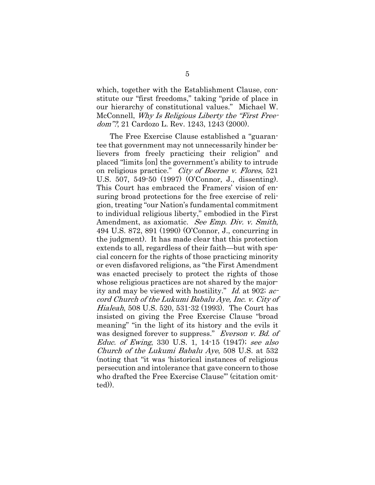which, together with the Establishment Clause, constitute our "first freedoms," taking "pride of place in our hierarchy of constitutional values." Michael W. McConnell, Why Is Religious Liberty the "First Freedom"?, 21 Cardozo L. Rev. 1243, 1243 (2000).

The Free Exercise Clause established a "guarantee that government may not unnecessarily hinder believers from freely practicing their religion" and placed "limits [on] the government's ability to intrude on religious practice." City of Boerne v. Flores, 521 U.S. 507, 549-50 (1997) (O'Connor, J., dissenting). This Court has embraced the Framers' vision of ensuring broad protections for the free exercise of religion, treating "our Nation's fundamental commitment to individual religious liberty," embodied in the First Amendment, as axiomatic. See Emp. Div. v. Smith, 494 U.S. 872, 891 (1990) (O'Connor, J., concurring in the judgment). It has made clear that this protection extends to all, regardless of their faith—but with special concern for the rights of those practicing minority or even disfavored religions, as "the First Amendment was enacted precisely to protect the rights of those whose religious practices are not shared by the majority and may be viewed with hostility." Id. at 902; accord Church of the Lukumi Babalu Aye, Inc. v. City of Hialeah, 508 U.S. 520, 531-32 (1993). The Court has insisted on giving the Free Exercise Clause "broad meaning" "in the light of its history and the evils it was designed forever to suppress." Everson v. Bd. of Educ. of Ewing, 330 U.S. 1, 14-15 (1947); see also Church of the Lukumi Babalu Aye, 508 U.S. at 532 (noting that "it was 'historical instances of religious persecution and intolerance that gave concern to those who drafted the Free Exercise Clause'" (citation omitted)).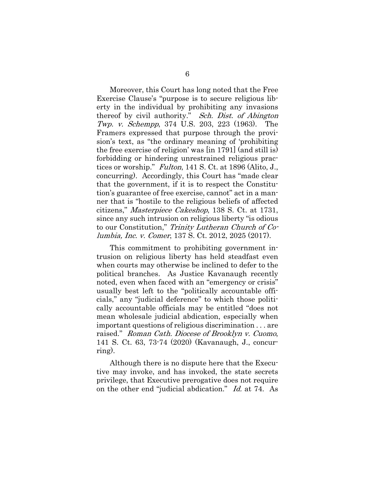Moreover, this Court has long noted that the Free Exercise Clause's "purpose is to secure religious liberty in the individual by prohibiting any invasions thereof by civil authority." Sch. Dist. of Abington Twp. v. Schempp, 374 U.S. 203, 223 (1963). The Framers expressed that purpose through the provision's text, as "the ordinary meaning of 'prohibiting the free exercise of religion' was [in 1791] (and still is) forbidding or hindering unrestrained religious practices or worship." Fulton, 141 S. Ct. at 1896 (Alito, J., concurring). Accordingly, this Court has "made clear that the government, if it is to respect the Constitution's guarantee of free exercise, cannot" act in a manner that is "hostile to the religious beliefs of affected citizens," Masterpiece Cakeshop, 138 S. Ct. at 1731, since any such intrusion on religious liberty "is odious to our Constitution," Trinity Lutheran Church of Columbia, Inc. v. Comer, 137 S. Ct. 2012, 2025 (2017).

This commitment to prohibiting government intrusion on religious liberty has held steadfast even when courts may otherwise be inclined to defer to the political branches. As Justice Kavanaugh recently noted, even when faced with an "emergency or crisis" usually best left to the "politically accountable officials," any "judicial deference" to which those politically accountable officials may be entitled "does not mean wholesale judicial abdication, especially when important questions of religious discrimination . . . are raised." Roman Cath. Diocese of Brooklyn v. Cuomo, 141 S. Ct. 63, 73-74 (2020) (Kavanaugh, J., concurring).

Although there is no dispute here that the Executive may invoke, and has invoked, the state secrets privilege, that Executive prerogative does not require on the other end "judicial abdication." Id. at 74. As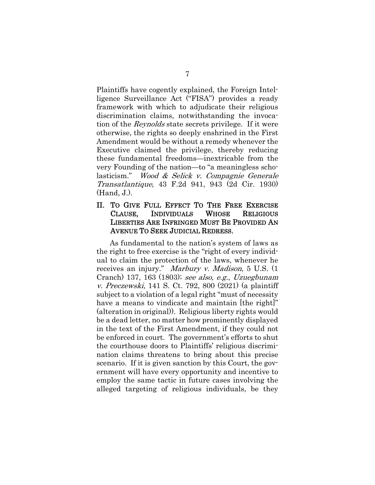Plaintiffs have cogently explained, the Foreign Intelligence Surveillance Act ("FISA") provides a ready framework with which to adjudicate their religious discrimination claims, notwithstanding the invocation of the Reynolds state secrets privilege. If it were otherwise, the rights so deeply enshrined in the First Amendment would be without a remedy whenever the Executive claimed the privilege, thereby reducing these fundamental freedoms—inextricable from the very Founding of the nation—to "a meaningless scholasticism." Wood & Selick v. Compagnie Generale Transatlantique, 43 F.2d 941, 943 (2d Cir. 1930) (Hand, J.).

#### II. TO GIVE FULL EFFECT TO THE FREE EXERCISE CLAUSE, INDIVIDUALS WHOSE RELIGIOUS LIBERTIES ARE INFRINGED MUST BE PROVIDED AN AVENUE TO SEEK JUDICIAL REDRESS.

As fundamental to the nation's system of laws as the right to free exercise is the "right of every individual to claim the protection of the laws, whenever he receives an injury." Marbury v. Madison, 5 U.S. (1 Cranch) 137, 163 (1803); see also, e.g., Uzuegbunam v. Preczewski, 141 S. Ct. 792, 800 (2021) (a plaintiff subject to a violation of a legal right "must of necessity have a means to vindicate and maintain [the right]" (alteration in original)). Religious liberty rights would be a dead letter, no matter how prominently displayed in the text of the First Amendment, if they could not be enforced in court. The government's efforts to shut the courthouse doors to Plaintiffs' religious discrimination claims threatens to bring about this precise scenario. If it is given sanction by this Court, the government will have every opportunity and incentive to employ the same tactic in future cases involving the alleged targeting of religious individuals, be they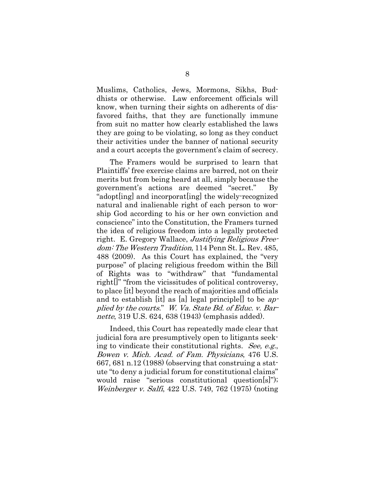Muslims, Catholics, Jews, Mormons, Sikhs, Buddhists or otherwise. Law enforcement officials will know, when turning their sights on adherents of disfavored faiths, that they are functionally immune from suit no matter how clearly established the laws they are going to be violating, so long as they conduct their activities under the banner of national security and a court accepts the government's claim of secrecy.

The Framers would be surprised to learn that Plaintiffs' free exercise claims are barred, not on their merits but from being heard at all, simply because the government's actions are deemed "secret." By "adopt[ing] and incorporat[ing] the widely-recognized natural and inalienable right of each person to worship God according to his or her own conviction and conscience" into the Constitution, the Framers turned the idea of religious freedom into a legally protected right. E. Gregory Wallace, Justifying Religious Freedom: The Western Tradition, 114 Penn St. L. Rev. 485, 488 (2009). As this Court has explained, the "very purpose" of placing religious freedom within the Bill of Rights was to "withdraw" that "fundamental right[]" "from the vicissitudes of political controversy, to place [it] beyond the reach of majorities and officials and to establish [it] as [a] legal principle<sup>[]</sup> to be  $ap$ plied by the courts." W. Va. State Bd. of Educ. v. Barnette, 319 U.S. 624, 638 (1943) (emphasis added).

Indeed, this Court has repeatedly made clear that judicial fora are presumptively open to litigants seeking to vindicate their constitutional rights. See, e.g., Bowen v. Mich. Acad. of Fam. Physicians, 476 U.S. 667, 681 n.12 (1988) (observing that construing a statute "to deny a judicial forum for constitutional claims" would raise "serious constitutional question[s]"); Weinberger v. Salfi, 422 U.S. 749, 762 (1975) (noting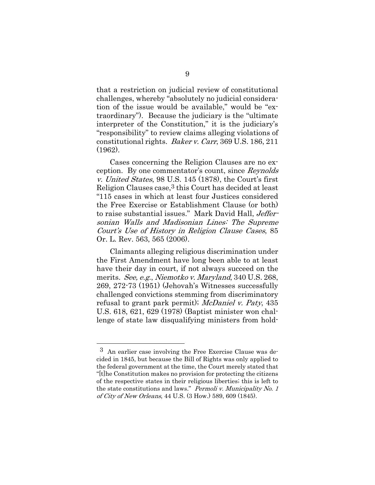that a restriction on judicial review of constitutional challenges, whereby "absolutely no judicial consideration of the issue would be available," would be "extraordinary"). Because the judiciary is the "ultimate interpreter of the Constitution," it is the judiciary's "responsibility" to review claims alleging violations of constitutional rights. Baker v. Carr, 369 U.S. 186, 211 (1962).

Cases concerning the Religion Clauses are no exception. By one commentator's count, since Reynolds v. United States, 98 U.S. 145 (1878), the Court's first Religion Clauses case,<sup>3</sup> this Court has decided at least "115 cases in which at least four Justices considered the Free Exercise or Establishment Clause (or both) to raise substantial issues." Mark David Hall, Jeffersonian Walls and Madisonian Lines: The Supreme Court's Use of History in Religion Clause Cases, 85 Or. L. Rev. 563, 565 (2006).

Claimants alleging religious discrimination under the First Amendment have long been able to at least have their day in court, if not always succeed on the merits. See, e.g., Niemotko v. Maryland, 340 U.S. 268, 269, 272-73 (1951) (Jehovah's Witnesses successfully challenged convictions stemming from discriminatory refusal to grant park permit); McDaniel v. Paty, 435 U.S. 618, 621, 629 (1978) (Baptist minister won challenge of state law disqualifying ministers from hold-

l

<sup>3</sup> An earlier case involving the Free Exercise Clause was decided in 1845, but because the Bill of Rights was only applied to the federal government at the time, the Court merely stated that "[t]he Constitution makes no provision for protecting the citizens of the respective states in their religious liberties; this is left to the state constitutions and laws." Permoli v. Municipality No. 1 of City of New Orleans, 44 U.S. (3 How.) 589, 609 (1845).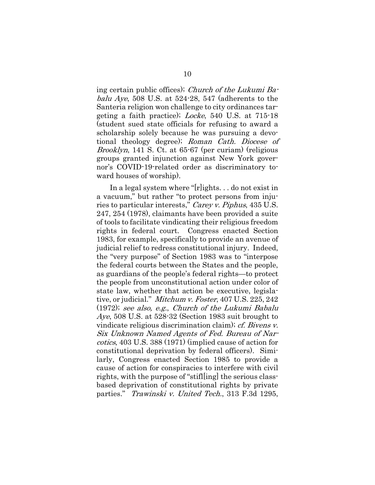ing certain public offices); Church of the Lukumi Babalu Aye, 508 U.S. at  $524-28$ , 547 (adherents to the Santeria religion won challenge to city ordinances targeting a faith practice); Locke, 540 U.S. at 715-18 (student sued state officials for refusing to award a scholarship solely because he was pursuing a devotional theology degree); Roman Cath. Diocese of Brooklyn, 141 S. Ct. at 65-67 (per curiam) (religious groups granted injunction against New York governor's COVID-19-related order as discriminatory toward houses of worship).

In a legal system where "[r]ights. . . do not exist in a vacuum," but rather "to protect persons from injuries to particular interests," Carey v. Piphus, 435 U.S. 247, 254 (1978), claimants have been provided a suite of tools to facilitate vindicating their religious freedom rights in federal court. Congress enacted Section 1983, for example, specifically to provide an avenue of judicial relief to redress constitutional injury. Indeed, the "very purpose" of Section 1983 was to "interpose the federal courts between the States and the people, as guardians of the people's federal rights—to protect the people from unconstitutional action under color of state law, whether that action be executive, legislative, or judicial." *Mitchum v. Foster*, 407 U.S. 225, 242 (1972); see also, e.g., Church of the Lukumi Babalu Aye, 508 U.S. at 528-32 (Section 1983 suit brought to vindicate religious discrimination claim); cf. Bivens v. Six Unknown Named Agents of Fed. Bureau of Narcotics, 403 U.S. 388 (1971) (implied cause of action for constitutional deprivation by federal officers). Similarly, Congress enacted Section 1985 to provide a cause of action for conspiracies to interfere with civil rights, with the purpose of "stifl[ing] the serious classbased deprivation of constitutional rights by private parties." Trawinski v. United Tech., 313 F.3d 1295,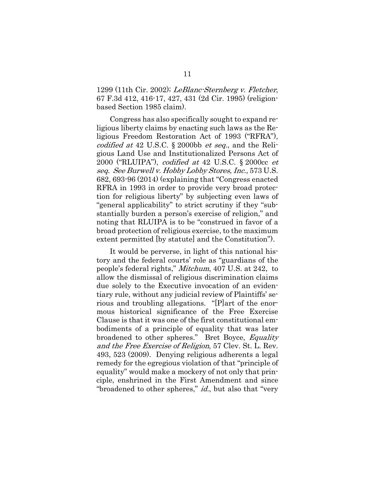1299 (11th Cir. 2002); LeBlanc-Sternberg v. Fletcher, 67 F.3d 412, 416-17, 427, 431 (2d Cir. 1995) (religionbased Section 1985 claim).

Congress has also specifically sought to expand religious liberty claims by enacting such laws as the Religious Freedom Restoration Act of 1993 ("RFRA"), codified at 42 U.S.C.  $\S$  2000bb *et seq.*, and the Religious Land Use and Institutionalized Persons Act of 2000 ("RLUIPA"), codified at 42 U.S.C. § 2000cc et seq. See Burwell v. Hobby Lobby Stores, Inc., 573 U.S. 682, 693-96 (2014) (explaining that "Congress enacted RFRA in 1993 in order to provide very broad protection for religious liberty" by subjecting even laws of "general applicability" to strict scrutiny if they "substantially burden a person's exercise of religion," and noting that RLUIPA is to be "construed in favor of a broad protection of religious exercise, to the maximum extent permitted [by statute] and the Constitution").

It would be perverse, in light of this national history and the federal courts' role as "guardians of the people's federal rights," Mitchum, 407 U.S. at 242, to allow the dismissal of religious discrimination claims due solely to the Executive invocation of an evidentiary rule, without any judicial review of Plaintiffs' serious and troubling allegations. "[P]art of the enormous historical significance of the Free Exercise Clause is that it was one of the first constitutional embodiments of a principle of equality that was later broadened to other spheres." Bret Boyce, Equality and the Free Exercise of Religion, 57 Clev. St. L. Rev. 493, 523 (2009). Denying religious adherents a legal remedy for the egregious violation of that "principle of equality" would make a mockery of not only that principle, enshrined in the First Amendment and since "broadened to other spheres," *id.*, but also that "very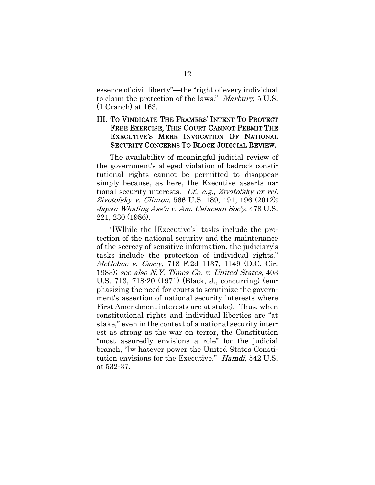essence of civil liberty"—the "right of every individual to claim the protection of the laws." Marbury, 5 U.S. (1 Cranch) at 163.

### III. TO VINDICATE THE FRAMERS' INTENT TO PROTECT FREE EXERCISE, THIS COURT CANNOT PERMIT THE EXECUTIVE'S MERE INVOCATION OF NATIONAL SECURITY CONCERNS TO BLOCK JUDICIAL REVIEW.

The availability of meaningful judicial review of the government's alleged violation of bedrock constitutional rights cannot be permitted to disappear simply because, as here, the Executive asserts national security interests. Cf., e.g., Zivotofsky ex rel. Zivotofsky v. Clinton, 566 U.S. 189, 191, 196 (2012); Japan Whaling Ass'n v. Am. Cetacean Soc'y, 478 U.S. 221, 230 (1986).

"[W]hile the [Executive's] tasks include the protection of the national security and the maintenance of the secrecy of sensitive information, the judiciary's tasks include the protection of individual rights." McGehee v. Casey, 718 F.2d 1137, 1149 (D.C. Cir. 1983); see also N.Y. Times Co. v. United States, 403 U.S. 713, 718-20 (1971) (Black, J., concurring) (emphasizing the need for courts to scrutinize the government's assertion of national security interests where First Amendment interests are at stake). Thus, when constitutional rights and individual liberties are "at stake," even in the context of a national security interest as strong as the war on terror, the Constitution "most assuredly envisions a role" for the judicial branch, "[w]hatever power the United States Constitution envisions for the Executive." Hamdi, 542 U.S. at 532-37.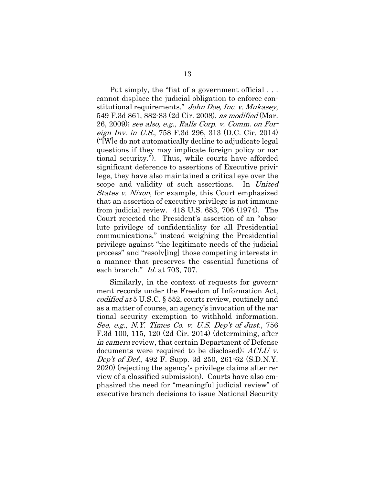Put simply, the "fiat of a government official . . . cannot displace the judicial obligation to enforce constitutional requirements." John Doe, Inc. v. Mukasey, 549 F.3d 861, 882-83 (2d Cir. 2008), as modified (Mar. 26, 2009); see also, e.g., Ralls Corp. v. Comm. on Foreign Inv. in U.S., 758 F.3d 296, 313 (D.C. Cir. 2014) ("[W]e do not automatically decline to adjudicate legal questions if they may implicate foreign policy or national security."). Thus, while courts have afforded significant deference to assertions of Executive privilege, they have also maintained a critical eye over the scope and validity of such assertions. In United States v. Nixon, for example, this Court emphasized that an assertion of executive privilege is not immune from judicial review. 418 U.S. 683, 706 (1974). The Court rejected the President's assertion of an "absolute privilege of confidentiality for all Presidential communications," instead weighing the Presidential privilege against "the legitimate needs of the judicial process" and "resolv[ing] those competing interests in a manner that preserves the essential functions of each branch." *Id.* at 703, 707.

Similarly, in the context of requests for government records under the Freedom of Information Act, codified at 5 U.S.C. § 552, courts review, routinely and as a matter of course, an agency's invocation of the national security exemption to withhold information. See, e.g., N.Y. Times Co. v. U.S. Dep't of Just., 756 F.3d 100, 115, 120 (2d Cir. 2014) (determining, after in camera review, that certain Department of Defense documents were required to be disclosed); ACLU v. Dep't of Def., 492 F. Supp. 3d 250, 261-62 (S.D.N.Y. 2020) (rejecting the agency's privilege claims after review of a classified submission). Courts have also emphasized the need for "meaningful judicial review" of executive branch decisions to issue National Security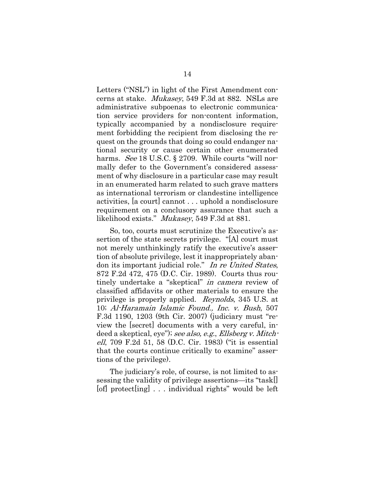Letters ("NSL") in light of the First Amendment concerns at stake. Mukasey, 549 F.3d at 882. NSLs are administrative subpoenas to electronic communication service providers for non-content information, typically accompanied by a nondisclosure requirement forbidding the recipient from disclosing the request on the grounds that doing so could endanger national security or cause certain other enumerated harms. See 18 U.S.C. § 2709. While courts "will normally defer to the Government's considered assessment of why disclosure in a particular case may result in an enumerated harm related to such grave matters as international terrorism or clandestine intelligence activities, [a court] cannot . . . uphold a nondisclosure requirement on a conclusory assurance that such a likelihood exists." Mukasey, 549 F.3d at 881.

So, too, courts must scrutinize the Executive's assertion of the state secrets privilege. "[A] court must not merely unthinkingly ratify the executive's assertion of absolute privilege, lest it inappropriately abandon its important judicial role." In re United States, 872 F.2d 472, 475 (D.C. Cir. 1989). Courts thus routinely undertake a "skeptical" in camera review of classified affidavits or other materials to ensure the privilege is properly applied. Reynolds, 345 U.S. at 10; Al-Haramain Islamic Found., Inc. v. Bush, 507 F.3d 1190, 1203 (9th Cir. 2007) (judiciary must "review the [secret] documents with a very careful, indeed a skeptical, eye"); see also, e.g., Ellsberg v. Mitchell, 709 F.2d 51, 58 (D.C. Cir. 1983) ("it is essential that the courts continue critically to examine" assertions of the privilege).

The judiciary's role, of course, is not limited to assessing the validity of privilege assertions—its "task[] [of] protect[ing] . . . individual rights" would be left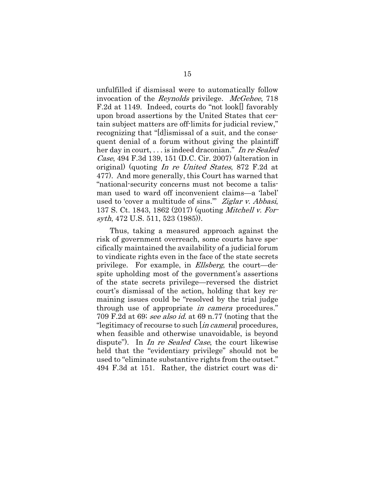unfulfilled if dismissal were to automatically follow invocation of the Reynolds privilege. McGehee, 718 F.2d at 1149. Indeed, courts do "not look[] favorably upon broad assertions by the United States that certain subject matters are off-limits for judicial review," recognizing that "[d]ismissal of a suit, and the consequent denial of a forum without giving the plaintiff her day in court, . . . is indeed draconian." In re Sealed Case, 494 F.3d 139, 151 (D.C. Cir. 2007) (alteration in original) (quoting In re United States, 872 F.2d at 477). And more generally, this Court has warned that "national-security concerns must not become a talisman used to ward off inconvenient claims—a 'label' used to 'cover a multitude of sins."" Ziglar v. Abbasi, 137 S. Ct. 1843, 1862 (2017) (quoting Mitchell v. Forsyth, 472 U.S. 511, 523 (1985)).

Thus, taking a measured approach against the risk of government overreach, some courts have specifically maintained the availability of a judicial forum to vindicate rights even in the face of the state secrets privilege. For example, in *Ellsberg*, the court—despite upholding most of the government's assertions of the state secrets privilege—reversed the district court's dismissal of the action, holding that key remaining issues could be "resolved by the trial judge through use of appropriate in camera procedures." 709 F.2d at 69; see also id. at 69 n.77 (noting that the "legitimacy of recourse to such [*in camera*] procedures, when feasible and otherwise unavoidable, is beyond dispute"). In In re Sealed Case, the court likewise held that the "evidentiary privilege" should not be used to "eliminate substantive rights from the outset." 494 F.3d at 151. Rather, the district court was di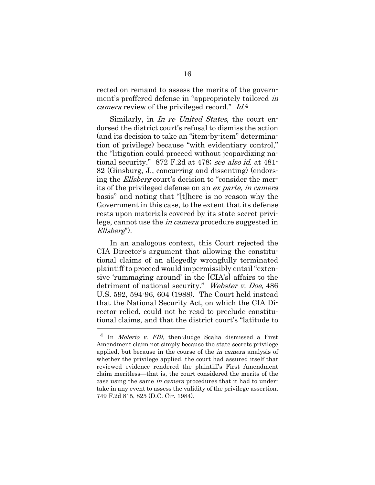rected on remand to assess the merits of the government's proffered defense in "appropriately tailored in camera review of the privileged record." Id.<sup>4</sup>

Similarly, in *In re United States*, the court endorsed the district court's refusal to dismiss the action (and its decision to take an "item-by-item" determination of privilege) because "with evidentiary control," the "litigation could proceed without jeopardizing national security." 872 F.2d at 478; see also id. at 481- 82 (Ginsburg, J., concurring and dissenting) (endorsing the Ellsberg court's decision to "consider the merits of the privileged defense on an ex parte, in camera basis" and noting that "[t]here is no reason why the Government in this case, to the extent that its defense rests upon materials covered by its state secret privilege, cannot use the in camera procedure suggested in Ellsberg").

In an analogous context, this Court rejected the CIA Director's argument that allowing the constitutional claims of an allegedly wrongfully terminated plaintiff to proceed would impermissibly entail "extensive 'rummaging around' in the [CIA's] affairs to the detriment of national security." Webster v. Doe, 486 U.S. 592, 594-96, 604 (1988). The Court held instead that the National Security Act, on which the CIA Director relied, could not be read to preclude constitutional claims, and that the district court's "latitude to

l

<sup>4</sup> In Molerio v. FBI, then-Judge Scalia dismissed a First Amendment claim not simply because the state secrets privilege applied, but because in the course of the in camera analysis of whether the privilege applied, the court had assured itself that reviewed evidence rendered the plaintiff's First Amendment claim meritless—that is, the court considered the merits of the case using the same *in camera* procedures that it had to undertake in any event to assess the validity of the privilege assertion. 749 F.2d 815, 825 (D.C. Cir. 1984).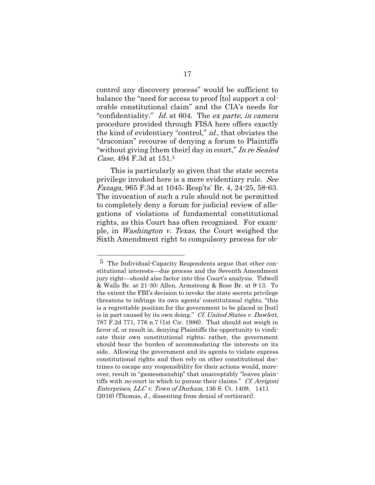control any discovery process" would be sufficient to balance the "need for access to proof [to] support a colorable constitutional claim" and the CIA's needs for "confidentiality." Id. at 604. The ex parte, in camera procedure provided through FISA here offers exactly the kind of evidentiary "control," id., that obviates the "draconian" recourse of denying a forum to Plaintiffs "without giving [them their] day in court," In re Sealed Case, 494 F.3d at 151.5

This is particularly so given that the state secrets privilege invoked here is a mere evidentiary rule. See Fazaga, 965 F.3d at 1045; Resp'ts' Br. 4, 24-25, 58-63. The invocation of such a rule should not be permitted to completely deny a forum for judicial review of allegations of violations of fundamental constitutional rights, as this Court has often recognized. For example, in Washington v. Texas, the Court weighed the Sixth Amendment right to compulsory process for ob-

 $\overline{a}$ 

<sup>5</sup> The Individual-Capacity Respondents argue that other constitutional interests—due process and the Seventh Amendment jury right—should also factor into this Court's analysis. Tidwell & Walls Br. at 21-30; Allen, Armstrong & Rose Br. at 9-13. To the extent the FBI's decision to invoke the state secrets privilege threatens to infringe its own agents' constitutional rights, "this is a regrettable position for the government to be placed in [but] is in part caused by its own doing." Cf. United States v. Dawlett, 787 F.2d 771, 776 n.7 (1st Cir. 1986). That should not weigh in favor of, or result in, denying Plaintiffs the opportunity to vindicate their own constitutional rights; rather, the government should bear the burden of accommodating the interests on its side. Allowing the government and its agents to violate express constitutional rights and then rely on other constitutional doctrines to escape any responsibility for their actions would, moreover, result in "gamesmanship" that unacceptably "leaves plaintiffs with no court in which to pursue their claims." Cf. Arrigoni Enterprises, LLC v. Town of Durham, 136 S. Ct. 1409, 1411 (2016) (Thomas, J., dissenting from denial of certiorari).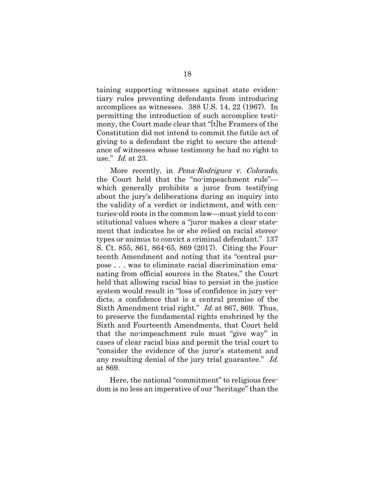taining supporting witnesses against state evidentiary rules preventing defendants from introducing accomplices as witnesses. 388 U.S. 14, 22 (1967). In permitting the introduction of such accomplice testimony, the Court made clear that "[t]he Framers of the Constitution did not intend to commit the futile act of giving to a defendant the right to secure the attendance of witnesses whose testimony he had no right to use." Id. at 23.

More recently, in *Pena-Rodriguez v. Colorado*, the Court held that the "no-impeachment rule" which generally prohibits a juror from testifying about the jury's deliberations during an inquiry into the validity of a verdict or indictment, and with centuries-old roots in the common law—must yield to constitutional values where a "juror makes a clear statement that indicates he or she relied on racial stereotypes or animus to convict a criminal defendant." 137 S. Ct. 855, 861, 864-65, 869 (2017). Citing the Fourteenth Amendment and noting that its "central purpose . . . was to eliminate racial discrimination emanating from official sources in the States," the Court held that allowing racial bias to persist in the justice system would result in "loss of confidence in jury verdicts, a confidence that is a central premise of the Sixth Amendment trial right." Id. at 867, 869. Thus, to preserve the fundamental rights enshrined by the Sixth and Fourteenth Amendments, that Court held that the no-impeachment rule must "give way" in cases of clear racial bias and permit the trial court to "consider the evidence of the juror's statement and any resulting denial of the jury trial guarantee." Id. at 869.

Here, the national "commitment" to religious freedom is no less an imperative of our "heritage" than the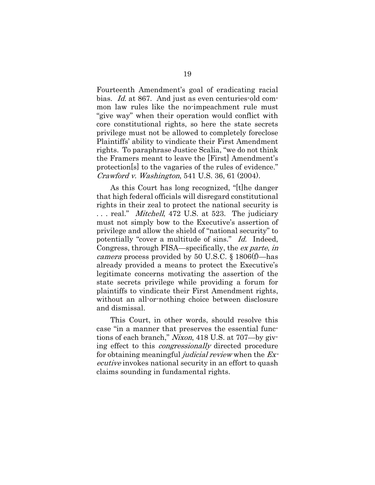Fourteenth Amendment's goal of eradicating racial bias. Id. at 867. And just as even centuries-old common law rules like the no-impeachment rule must "give way" when their operation would conflict with core constitutional rights, so here the state secrets privilege must not be allowed to completely foreclose Plaintiffs' ability to vindicate their First Amendment rights. To paraphrase Justice Scalia, "we do not think the Framers meant to leave the [First] Amendment's protection[s] to the vagaries of the rules of evidence." Crawford v. Washington, 541 U.S. 36, 61 (2004).

As this Court has long recognized, "[t]he danger that high federal officials will disregard constitutional rights in their zeal to protect the national security is ... real." *Mitchell*, 472 U.S. at 523. The judiciary must not simply bow to the Executive's assertion of privilege and allow the shield of "national security" to potentially "cover a multitude of sins." Id. Indeed, Congress, through FISA—specifically, the ex parte, in *camera* process provided by 50 U.S.C.  $\S 1806(f)$ —has already provided a means to protect the Executive's legitimate concerns motivating the assertion of the state secrets privilege while providing a forum for plaintiffs to vindicate their First Amendment rights, without an all-or-nothing choice between disclosure and dismissal.

This Court, in other words, should resolve this case "in a manner that preserves the essential functions of each branch," Nixon, 418 U.S. at 707—by giving effect to this *congressionally* directed procedure for obtaining meaningful *judicial review* when the  $Ex$ ecutive invokes national security in an effort to quash claims sounding in fundamental rights.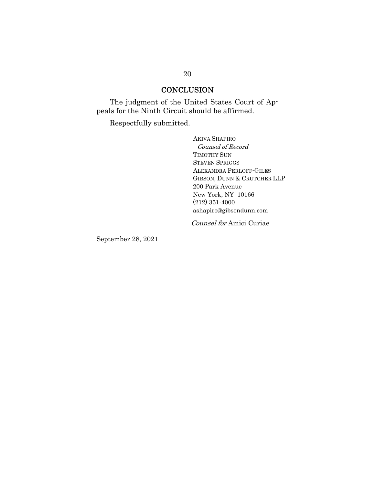### **CONCLUSION**

The judgment of the United States Court of Appeals for the Ninth Circuit should be affirmed.

Respectfully submitted.

AKIVA SHAPIRO Counsel of Record TIMOTHY SUN STEVEN SPRIGGS ALEXANDRA PERLOFF-GILES GIBSON, DUNN & CRUTCHER LLP 200 Park Avenue New York, NY 10166 (212) 351-4000 ashapiro@gibsondunn.com

Counsel for Amici Curiae

September 28, 2021